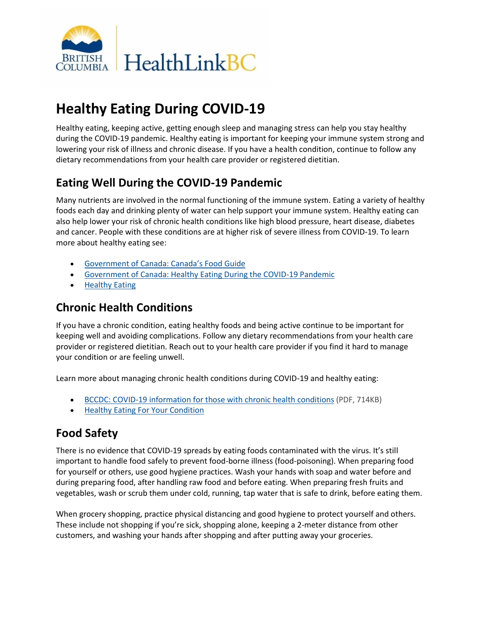

# **Healthy Eating During COVID-19**

Healthy eating, keeping active, getting enough sleep and managing stress can help you stay healthy during the COVID-19 pandemic. Healthy eating is important for keeping your immune system strong and lowering your risk of illness and chronic disease. If you have a health condition, continue to follow any dietary recommendations from your health care provider or registered dietitian.

# **Eating Well During the COVID-19 Pandemic**

Many nutrients are involved in the normal functioning of the immune system. Eating a variety of healthy foods each day and drinking plenty of water can help support your immune system. Healthy eating can also help lower your risk of chronic health conditions like high blood pressure, heart disease, diabetes and cancer. People with these conditions are at higher risk of severe illness from COVID-19. To learn more about healthy eating see:

- [Government of Canada: Canada's Food Guide](https://food-guide.canada.ca/en/)
- [Government of Canada: Healthy Eating During the COVID-19 Pandemic](https://www.canada.ca/en/health-canada/services/food-nutrition/healthy-eating/covid-19.html)
- [Healthy Eating](https://www.healthlinkbc.ca/healthy-eating)

## **Chronic Health Conditions**

If you have a chronic condition, eating healthy foods and being active continue to be important for keeping well and avoiding complications. Follow any dietary recommendations from your health care provider or registered dietitian. Reach out to your health care provider if you find it hard to manage your condition or are feeling unwell.

Learn more about managing chronic health conditions during COVID-19 and healthy eating:

- [BCCDC: COVID-19 information for those with chronic health conditions](http://www.bccdc.ca/resource-gallery/Documents/Guidelines%20and%20Forms/Guidelines%20and%20Manuals/Epid/CD%20Manual/Chapter%201%20-%20CDC/COVID-19-Handout-chronic-disease.pdf) (PDF, 714KB)
- [Healthy Eating For Your Condition](https://www.healthlinkbc.ca/healthy-eating/your-condition)

# **Food Safety**

There is no evidence that COVID-19 spreads by eating foods contaminated with the virus. It's still important to handle food safely to prevent food-borne illness (food-poisoning). When preparing food for yourself or others, use good hygiene practices. Wash your hands with soap and water before and during preparing food, after handling raw food and before eating. When preparing fresh fruits and vegetables, wash or scrub them under cold, running, tap water that is safe to drink, before eating them.

When grocery shopping, practice physical distancing and good hygiene to protect yourself and others. These include not shopping if you're sick, shopping alone, keeping a 2-meter distance from other customers, and washing your hands after shopping and after putting away your groceries.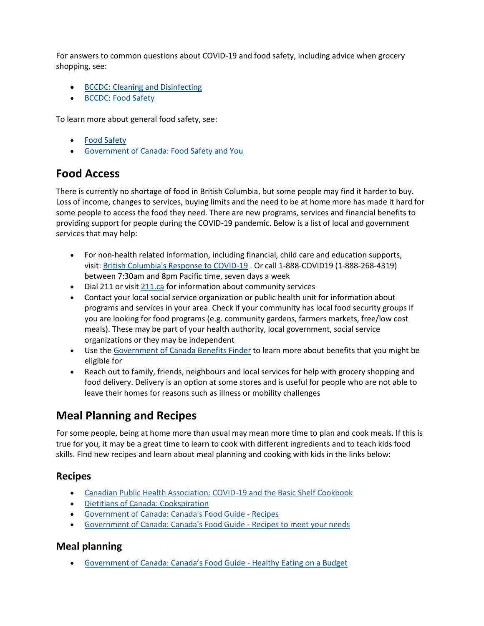For answers to common questions about COVID-19 and food safety, including advice when grocery shopping, see:

- [BCCDC: Cleaning and Disinfecting](http://www.bccdc.ca/health-info/diseases-conditions/covid-19/prevention-risks/cleaning-and-disinfecting)
- [BCCDC: Food Safety](http://www.bccdc.ca/health-info/prevention-public-health/food-safety)

To learn more about general food safety, see:

- [Food Safety](https://www.healthlinkbc.ca/healthy-eating/everyone/food-safety)
- [Government of Canada: Food Safety and You](https://www.canada.ca/en/health-canada/services/general-food-safety-tips/food-safety-you.html)

### **Food Access**

There is currently no shortage of food in British Columbia, but some people may find it harder to buy. Loss of income, changes to services, buying limits and the need to be at home more has made it hard for some people to access the food they need. There are new programs, services and financial benefits to providing support for people during the COVID-19 pandemic. Below is a list of local and government services that may help:

- For non-health related information, including financial, child care and education supports, visit: [British Columbia's Response to COVID-19](https://www2.gov.bc.ca/gov/content/safety/emergency-preparedness-response-recovery/covid-19-provincial-support) . Or call 1-888-COVID19 (1-888-268-4319) between 7:30am and 8pm Pacific time, seven days a week
- Dial 211 or visit [211.ca](http://211.ca/) for information about community services
- Contact your local social service organization or public health unit for information about programs and services in your area. Check if your community has local food security groups if you are looking for food programs (e.g. community gardens, farmers markets, free/low cost meals). These may be part of your health authority, local government, social service organizations or they may be independent
- Use the [Government of Canada Benefits Finder](https://benefitsfinder.services.gc.ca/hm?GoCTemplateCulture=en-CA) to learn more about benefits that you might be eligible for
- Reach out to family, friends, neighbours and local services for help with grocery shopping and food delivery. Delivery is an option at some stores and is useful for people who are not able to leave their homes for reasons such as illness or mobility challenges

## **Meal Planning and Recipes**

For some people, being at home more than usual may mean more time to plan and cook meals. If this is true for you, it may be a great time to learn to cook with different ingredients and to teach kids food skills. Find new recipes and learn about meal planning and cooking with kids in the links below:

#### **Recipes**

- [Canadian Public Health Association: COVID-19 and the Basic Shelf Cookbook](https://www.cpha.ca/covid-19-and-basic-shelf-cookbook)
- [Dietitians of Canada: Cookspiration](http://www.cookspiration.com/category.aspx?d=40&s=3&i=5)
- [Government of Canada: Canada's Food Guide -](https://www.canada.ca/en/health-canada/services/canada-food-guide/tips-healthy-eating/meal-planning-cooking-healthy-choices/recipes.html) Recipes
- [Government of Canada: Canada's Food Guide -](https://food-guide.canada.ca/en/tips-for-healthy-eating/adjusting-recipes/) Recipes to meet your needs

#### **Meal planning**

[Government of Canada: Canada's Food Guide](https://food-guide.canada.ca/en/tips-for-healthy-eating/healthy-eating-on-a-budget/) - Healthy Eating on a Budget